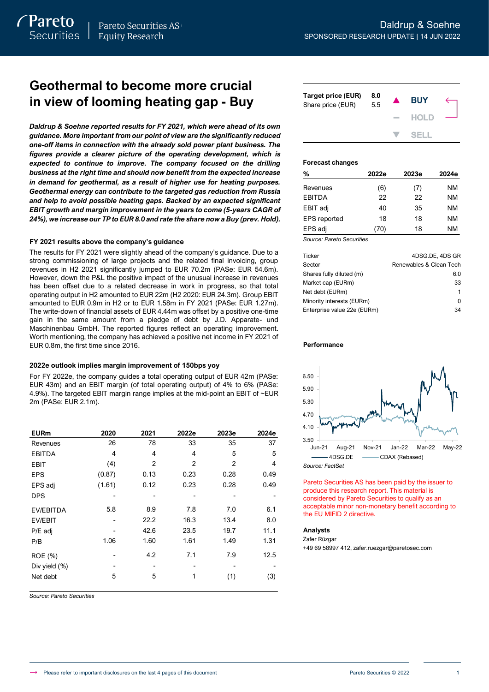*Daldrup & Soehne reported results for FY 2021, which were ahead of its own guidance. More important from our point of view are the significantly reduced one-off items in connection with the already sold power plant business. The figures provide a clearer picture of the operating development, which is expected to continue to improve. The company focused on the drilling business at the right time and should now benefit from the expected increase in demand for geothermal, as a result of higher use for heating purposes. Geothermal energy can contribute to the targeted gas reduction from Russia and help to avoid possible heating gaps. Backed by an expected significant EBIT growth and margin improvement in the years to come (5-years CAGR of 24%), we increase our TP to EUR 8.0 and rate the share now a Buy (prev. Hold).*

## **FY 2021 results above the company's guidance**

The results for FY 2021 were slightly ahead of the company's guidance. Due to a strong commissioning of large projects and the related final invoicing, group revenues in H2 2021 significantly jumped to EUR 70.2m (PASe: EUR 54.6m). However, down the P&L the positive impact of the unusual increase in revenues has been offset due to a related decrease in work in progress, so that total operating output in H2 amounted to EUR 22m (H2 2020: EUR 24.3m). Group EBIT amounted to EUR 0.9m in H2 or to EUR 1.58m in FY 2021 (PASe: EUR 1.27m). The write-down of financial assets of EUR 4.44m was offset by a positive one-time gain in the same amount from a pledge of debt by J.D. Apparate- und Maschinenbau GmbH. The reported figures reflect an operating improvement. Worth mentioning, the company has achieved a positive net income in FY 2021 of EUR 0.8m, the first time since 2016.

## **2022e outlook implies margin improvement of 150bps yoy**

For FY 2022e, the company guides a total operating output of EUR 42m (PASe: EUR 43m) and an EBIT margin (of total operating output) of 4% to 6% (PASe: 4.9%). The targeted EBIT margin range implies at the mid-point an EBIT of ~EUR 2m (PASe: EUR 2.1m).

| <b>EURm</b>      | 2020   | 2021           | 2022e          | 2023e          | 2024e |
|------------------|--------|----------------|----------------|----------------|-------|
| Revenues         | 26     | 78             | 33             | 35             | 37    |
| <b>EBITDA</b>    | 4      | 4              | 4              | 5              | 5     |
| <b>EBIT</b>      | (4)    | $\overline{2}$ | $\overline{2}$ | $\overline{2}$ | 4     |
| <b>EPS</b>       | (0.87) | 0.13           | 0.23           | 0.28           | 0.49  |
| EPS adj          | (1.61) | 0.12           | 0.23           | 0.28           | 0.49  |
| <b>DPS</b>       |        |                |                |                |       |
| <b>EV/EBITDA</b> | 5.8    | 8.9            | 7.8            | 7.0            | 6.1   |
| EV/EBIT          |        | 22.2           | 16.3           | 13.4           | 8.0   |
| P/E adj          |        | 42.6           | 23.5           | 19.7           | 11.1  |
| P/B              | 1.06   | 1.60           | 1.61           | 1.49           | 1.31  |
| ROE (%)          |        | 4.2            | 7.1            | 7.9            | 12.5  |
| Div yield $(\%)$ |        | -              |                |                |       |
| Net debt         | 5      | 5              | 1              | (1)            | (3)   |

*Source: Pareto Securities*

| Target price (EUR)<br>Share price (EUR) | 8.0<br>5.5 | <b>BUY</b>  |  |
|-----------------------------------------|------------|-------------|--|
|                                         |            | <b>HOLD</b> |  |
|                                         |            | SELL.       |  |

## **Forecast changes**

| %                   | 2022e | 2023e | 2024e |
|---------------------|-------|-------|-------|
| Revenues            | (6)   | (7)   | NM    |
| EBITDA              | 22    | 22    | NM    |
| EBIT adj            | 40    | 35    | NM    |
| <b>EPS</b> reported | 18    | 18    | NM    |
| EPS adj             | 70)   | 18    | NM    |

*Source: Pareto Securities*

| Ticker                      | 4DSG.DE. 4DS GR         |
|-----------------------------|-------------------------|
| Sector                      | Renewables & Clean Tech |
| Shares fully diluted (m)    | 6.0                     |
| Market cap (EURm)           | 33                      |
| Net debt (EURm)             |                         |
| Minority interests (EURm)   | ŋ                       |
| Enterprise value 22e (EURm) | 34                      |

## **Performance**



Pareto Securities AS has been paid by the issuer to produce this research report. This material is considered by Pareto Securities to qualify as an acceptable minor non-monetary benefit according to the EU MIFID 2 directive.

### **Analysts**

Zafer Rüzgar

+49 69 58997 412, zafer.ruezgar@paretosec.com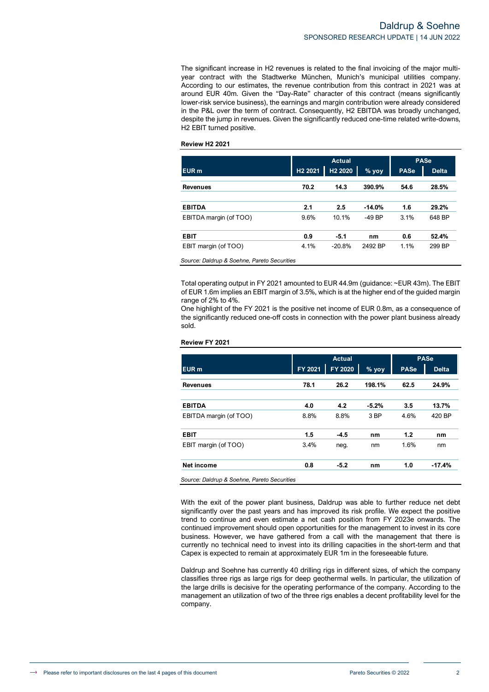The significant increase in H2 revenues is related to the final invoicing of the major multiyear contract with the Stadtwerke München, Munich's municipal utilities company. According to our estimates, the revenue contribution from this contract in 2021 was at around EUR 40m. Given the "Day-Rate" character of this contract (means significantly lower-risk service business), the earnings and margin contribution were already considered in the P&L over the term of contract. Consequently, H2 EBITDA was broadly unchanged, despite the jump in revenues. Given the significantly reduced one-time related write-downs, H2 EBIT turned positive.

## **Review H2 2021**

|                        |                     | <b>Actual</b>       |          |             | <b>PASe</b>  |
|------------------------|---------------------|---------------------|----------|-------------|--------------|
| EUR <sub>m</sub>       | H <sub>2</sub> 2021 | H <sub>2</sub> 2020 | $%$ yoy  | <b>PASe</b> | <b>Delta</b> |
| <b>Revenues</b>        | 70.2                | 14.3                | 390.9%   | 54.6        | 28.5%        |
| <b>EBITDA</b>          | 2.1                 | 2.5                 | $-14.0%$ | 1.6         | 29.2%        |
| EBITDA margin (of TOO) | 9.6%                | 10.1%               | $-49$ BP | 3.1%        | 648 BP       |
| <b>EBIT</b>            | 0.9                 | $-5.1$              | nm       | 0.6         | 52.4%        |
| EBIT margin (of TOO)   | 4.1%                | $-20.8%$            | 2492 BP  | 1.1%        | 299 BP       |

*Source: Daldrup & Soehne, Pareto Securities*

Total operating output in FY 2021 amounted to EUR 44.9m (guidance: ~EUR 43m). The EBIT of EUR 1.6m implies an EBIT margin of 3.5%, which is at the higher end of the guided margin range of 2% to 4%.

One highlight of the FY 2021 is the positive net income of EUR 0.8m, as a consequence of the significantly reduced one-off costs in connection with the power plant business already sold.

|                                             |         | <b>Actual</b> |         |             | <b>PASe</b>  |
|---------------------------------------------|---------|---------------|---------|-------------|--------------|
| EUR <sub>m</sub>                            | FY 2021 | FY 2020       | $%$ yoy | <b>PASe</b> | <b>Delta</b> |
| <b>Revenues</b>                             | 78.1    | 26.2          | 198.1%  | 62.5        | 24.9%        |
| <b>EBITDA</b>                               | 4.0     | 4.2           | $-5.2%$ | 3.5         | 13.7%        |
| EBITDA margin (of TOO)                      | 8.8%    | 8.8%          | 3 BP    | 4.6%        | 420 BP       |
| <b>EBIT</b>                                 | 1.5     | $-4.5$        | nm      | 1.2         | nm           |
| EBIT margin (of TOO)                        | 3.4%    | neg.          | nm      | 1.6%        | nm           |
| <b>Net income</b>                           | 0.8     | $-5.2$        | nm      | 1.0         | $-17.4%$     |
| Source: Daldrup & Soehne, Pareto Securities |         |               |         |             |              |

## With the exit of the power plant business, Daldrup was able to further reduce net debt significantly over the past years and has improved its risk profile. We expect the positive trend to continue and even estimate a net cash position from FY 2023e onwards. The continued improvement should open opportunities for the management to invest in its core business. However, we have gathered from a call with the management that there is currently no technical need to invest into its drilling capacities in the short-term and that Capex is expected to remain at approximately EUR 1m in the foreseeable future.

Daldrup and Soehne has currently 40 drilling rigs in different sizes, of which the company classifies three rigs as large rigs for deep geothermal wells. In particular, the utilization of the large drills is decisive for the operating performance of the company. According to the management an utilization of two of the three rigs enables a decent profitability level for the company.

### **Review FY 2021**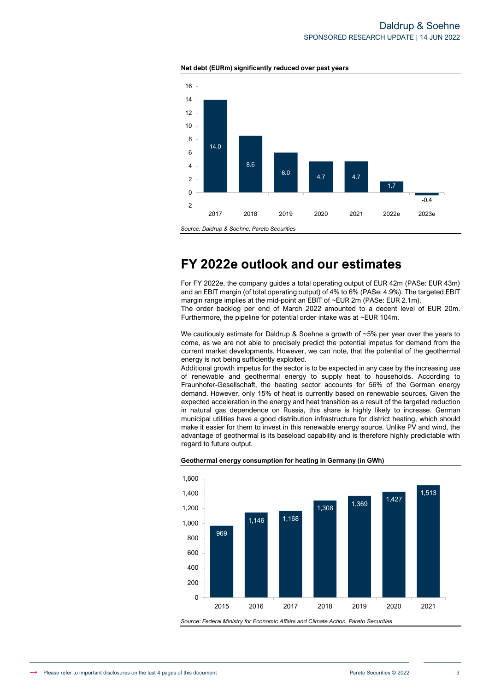## Daldrup & Soehne SPONSORED RESEARCH UPDATE | 14 JUN 2022





# **FY 2022e outlook and our estimates**

For FY 2022e, the company guides a total operating output of EUR 42m (PASe: EUR 43m) and an EBIT margin (of total operating output) of 4% to 6% (PASe: 4.9%). The targeted EBIT margin range implies at the mid-point an EBIT of ~EUR 2m (PASe: EUR 2.1m). The order backlog per end of March 2022 amounted to a decent level of EUR 20m. Furthermore, the pipeline for potential order intake was at ~EUR 104m.

We cautiously estimate for Daldrup & Soehne a growth of ~5% per year over the years to come, as we are not able to precisely predict the potential impetus for demand from the current market developments. However, we can note, that the potential of the geothermal energy is not being sufficiently exploited.

Additional growth impetus for the sector is to be expected in any case by the increasing use of renewable and geothermal energy to supply heat to households. According to Fraunhofer-Gesellschaft, the heating sector accounts for 56% of the German energy demand. However, only 15% of heat is currently based on renewable sources. Given the expected acceleration in the energy and heat transition as a result of the targeted reduction in natural gas dependence on Russia, this share is highly likely to increase. German municipal utilities have a good distribution infrastructure for district heating, which should make it easier for them to invest in this renewable energy source. Unlike PV and wind, the advantage of geothermal is its baseload capability and is therefore highly predictable with regard to future output.



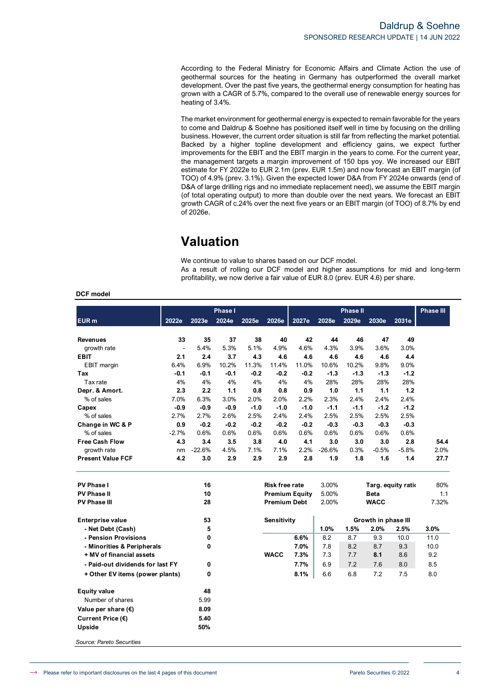According to the Federal Ministry for Economic Affairs and Climate Action the use of geothermal sources for the heating in Germany has outperformed the overall market development. Over the past five years, the geothermal energy consumption for heating has grown with a CAGR of 5.7%, compared to the overall use of renewable energy sources for heating of 3.4%.

The market environment for geothermal energy is expected to remain favorable for the years to come and Daldrup & Soehne has positioned itself well in time by focusing on the drilling business. However, the current order situation is still far from reflecting the market potential. Backed by a higher topline development and efficiency gains, we expect further improvements for the EBIT and the EBIT margin in the years to come. For the current year, the management targets a margin improvement of 150 bps yoy. We increased our EBIT estimate for FY 2022e to EUR 2.1m (prev. EUR 1.5m) and now forecast an EBIT margin (of TOO) of 4.9% (prev. 3.1%). Given the expected lower D&A from FY 2024e onwards (end of D&A of large drilling rigs and no immediate replacement need), we assume the EBIT margin (of total operating output) to more than double over the next years. We forecast an EBIT growth CAGR of c.24% over the next five years or an EBIT margin (of TOO) of 8.7% by end of 2026e.

# **Valuation**

We continue to value to shares based on our DCF model.

As a result of rolling our DCF model and higher assumptions for mid and long-term profitability, we now derive a fair value of EUR 8.0 (prev. EUR 4.6) per share.

## **DCF model**

|                                  |                |              | Phase I |        |                       |                       |          | <b>Phase II</b> |                     |         | <b>Phase III</b> |
|----------------------------------|----------------|--------------|---------|--------|-----------------------|-----------------------|----------|-----------------|---------------------|---------|------------------|
| EUR <sub>m</sub>                 | 2022e          | 2023e        | 2024e   | 2025e  | 2026e                 | 2027e                 | 2028e    | 2029e           | 2030e               | 2031e   |                  |
|                                  |                |              |         |        |                       |                       |          |                 |                     |         |                  |
| <b>Revenues</b>                  | 33             | 35           | 37      | 38     | 40                    | 42                    | 44       | 46              | 47                  | 49      |                  |
| growth rate                      | $\blacksquare$ | 5.4%         | 5.3%    | 5.1%   | 4.9%                  | 4.6%                  | 4.3%     | 3.9%            | 3.6%                | 3.0%    |                  |
| <b>EBIT</b>                      | 2.1            | 2.4          | 3.7     | 4.3    | 4.6                   | 4.6                   | 4.6      | 4.6             | 4.6                 | 4.4     |                  |
| <b>EBIT</b> margin               | 6.4%           | 6.9%         | 10.2%   | 11.3%  | 11.4%                 | 11.0%                 | 10.6%    | 10.2%           | 9.8%                | 9.0%    |                  |
| Tax                              | $-0.1$         | $-0.1$       | $-0.1$  | $-0.2$ | $-0.2$                | $-0.2$                | $-1.3$   | $-1.3$          | $-1.3$              | $-1.2$  |                  |
| Tax rate                         | 4%             | 4%           | 4%      | 4%     | 4%                    | 4%                    | 28%      | 28%             | 28%                 | 28%     |                  |
| Depr. & Amort.                   | 2.3            | 2.2          | 1.1     | 0.8    | 0.8                   | 0.9                   | 1.0      | 1.1             | 1.1                 | 1.2     |                  |
| % of sales                       | 7.0%           | 6.3%         | 3.0%    | 2.0%   | 2.0%                  | 2.2%                  | 2.3%     | 2.4%            | 2.4%                | 2.4%    |                  |
| Capex                            | $-0.9$         | $-0.9$       | $-0.9$  | $-1.0$ | $-1.0$                | $-1.0$                | $-1.1$   | $-1.1$          | $-1.2$              | $-1.2$  |                  |
| % of sales                       | 2.7%           | 2.7%         | 2.6%    | 2.5%   | 2.4%                  | 2.4%                  | 2.5%     | 2.5%            | 2.5%                | 2.5%    |                  |
| Change in WC & P                 | 0.9            | $-0.2$       | $-0.2$  | $-0.2$ | $-0.2$                | $-0.2$                | $-0.3$   | $-0.3$          | $-0.3$              | $-0.3$  |                  |
| % of sales                       | $-2.7%$        | 0.6%         | 0.6%    | 0.6%   | 0.6%                  | 0.6%                  | 0.6%     | 0.6%            | 0.6%                | 0.6%    |                  |
| <b>Free Cash Flow</b>            | 4.3            | 3.4          | 3.5     | 3.8    | 4.0                   | 4.1                   | 3.0      | 3.0             | 3.0                 | 2.8     | 54.4             |
| growth rate                      | nm             | $-22.6%$     | 4.5%    | 7.1%   | 7.1%                  | 2.2%                  | $-26.6%$ | 0.3%            | $-0.5%$             | $-5.8%$ | 2.0%             |
| <b>Present Value FCF</b>         | 4.2            | 3.0          | 2.9     | 2.9    | 2.9                   | 2.8                   | 1.9      | 1.8             | 1.6                 | 1.4     | 27.7             |
| PV Phase I                       |                | 16           |         |        | <b>Risk free rate</b> |                       | 3.00%    |                 | Targ. equity ratio  |         | 80%              |
| <b>PV Phase II</b>               |                | 10           |         |        |                       | <b>Premium Equity</b> | 5.00%    |                 | <b>Beta</b>         |         | 1.1              |
| <b>PV Phase III</b>              |                | 28           |         |        | <b>Premium Debt</b>   |                       | 2.00%    |                 | <b>WACC</b>         |         | 7.32%            |
| <b>Enterprise value</b>          |                | 53           |         |        | <b>Sensitivity</b>    |                       |          |                 | Growth in phase III |         |                  |
| - Net Debt (Cash)                |                | 5            |         |        |                       |                       | 1.0%     | 1.5%            | 2.0%                | 2.5%    | 3.0%             |
| - Pension Provisions             |                | 0            |         |        |                       | 6.6%                  | 8.2      | 8.7             | 9.3                 | 10.0    | 11.0             |
| - Minorities & Peripherals       |                | 0            |         |        |                       | 7.0%                  | 7.8      | 8.2             | 8.7                 | 9.3     | 10.0             |
| + MV of financial assets         |                |              |         |        | <b>WACC</b>           | 7.3%                  | 7.3      | 7.7             | 8.1                 | 8.6     | 9.2              |
| - Paid-out dividends for last FY |                | 0            |         |        |                       | 7.7%                  | 6.9      | 7.2             | 7.6                 | 8.0     | 8.5              |
| + Other EV items (power plants)  |                | $\mathbf{0}$ |         |        |                       | 8.1%                  | 6.6      | 6.8             | 7.2                 | 7.5     | 8.0              |
| <b>Equity value</b>              |                | 48           |         |        |                       |                       |          |                 |                     |         |                  |
| Number of shares                 |                | 5.99         |         |        |                       |                       |          |                 |                     |         |                  |
| Value per share $(\epsilon)$     |                | 8.09         |         |        |                       |                       |          |                 |                     |         |                  |
| Current Price (€)                |                | 5.40         |         |        |                       |                       |          |                 |                     |         |                  |
| Upside                           |                | 50%          |         |        |                       |                       |          |                 |                     |         |                  |
| Source: Pareto Securities        |                |              |         |        |                       |                       |          |                 |                     |         |                  |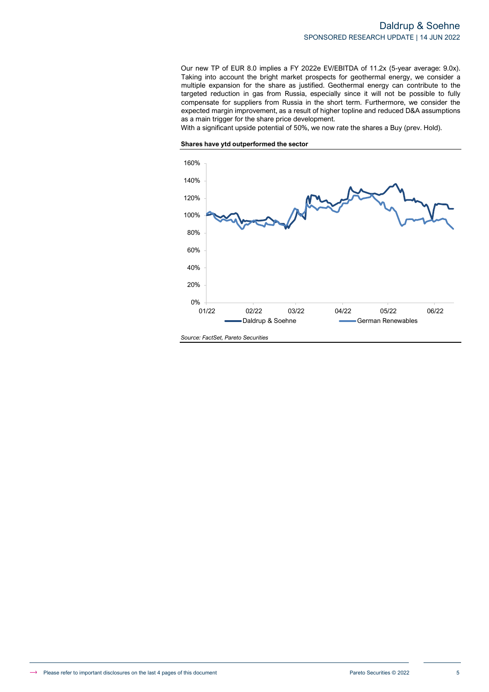Our new TP of EUR 8.0 implies a FY 2022e EV/EBITDA of 11.2x (5-year average: 9.0x). Taking into account the bright market prospects for geothermal energy, we consider a multiple expansion for the share as justified. Geothermal energy can contribute to the targeted reduction in gas from Russia, especially since it will not be possible to fully compensate for suppliers from Russia in the short term. Furthermore, we consider the expected margin improvement, as a result of higher topline and reduced D&A assumptions as a main trigger for the share price development.

With a significant upside potential of 50%, we now rate the shares a Buy (prev. Hold).



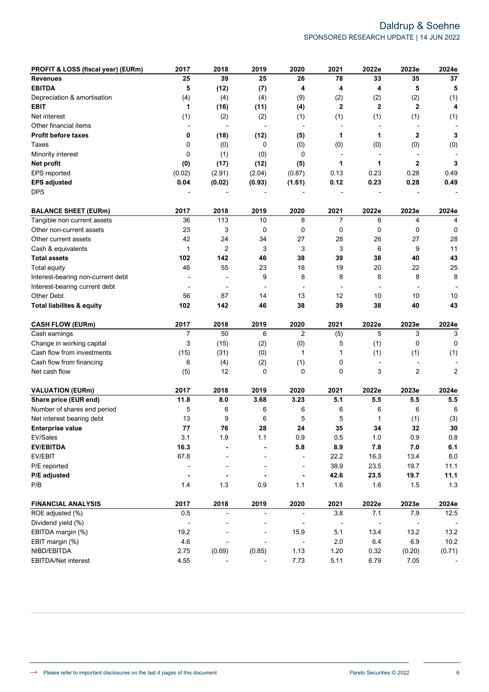## Daldrup & Soehne SPONSORED RESEARCH UPDATE | 14 JUN 2022

| PROFIT & LOSS (fiscal year) (EURm)   | 2017                     | 2018                     | 2019                     | 2020                     | 2021                     | 2022e        | 2023e                    | 2024e          |
|--------------------------------------|--------------------------|--------------------------|--------------------------|--------------------------|--------------------------|--------------|--------------------------|----------------|
| <b>Revenues</b>                      | 25                       | 39                       | 25                       | 26                       | 78                       | 33           | 35                       | 37             |
| <b>EBITDA</b>                        | 5                        | (12)                     | (7)                      | 4                        | 4                        | 4            | 5                        | 5              |
| Depreciation & amortisation          | (4)                      | (4)                      | (4)                      | (9)                      | (2)                      | (2)          | (2)                      | (1)            |
| <b>EBIT</b>                          | 1                        | (16)                     | (11)                     | (4)                      | $\mathbf{2}$             | $\mathbf{2}$ | $\mathbf{2}$             | 4              |
| Net interest                         | (1)                      | (2)                      | (2)                      | (1)                      | (1)                      | (1)          | (1)                      | (1)            |
| Other financial items                |                          | $\blacksquare$           |                          | $\overline{\phantom{a}}$ | $\overline{\phantom{a}}$ |              |                          |                |
| <b>Profit before taxes</b>           | 0                        | (18)                     | (12)                     | (5)                      | 1                        | 1            | $\mathbf{2}$             | 3              |
| Taxes                                | 0                        | (0)                      | 0                        | (0)                      | (0)                      | (0)          | (0)                      | (0)            |
| Minority interest                    | 0                        | (1)                      | (0)                      | 0                        | $\overline{\phantom{a}}$ |              |                          |                |
| Net profit                           | (0)                      | (17)                     | (12)                     | (5)                      | 1                        | 1            | 2                        | 3              |
| EPS reported                         | (0.02)                   | (2.91)                   | (2.04)                   | (0.87)                   | 0.13                     | 0.23         | 0.28                     | 0.49           |
| <b>EPS adjusted</b>                  | 0.04                     | (0.02)                   | (0.93)                   | (1.61)                   | 0.12                     | 0.23         | 0.28                     | 0.49           |
| <b>DPS</b>                           |                          |                          |                          |                          |                          |              |                          |                |
| <b>BALANCE SHEET (EURm)</b>          | 2017                     | 2018                     | 2019                     | 2020                     | 2021                     | 2022e        | 2023e                    | 2024e          |
| Tangible non current assets          | 36                       | 113                      | 10                       | 8                        | 7                        | 6            | 4                        | 4              |
| Other non-current assets             | 23                       | 3                        | 0                        | 0                        | 0                        | 0            | 0                        | 0              |
| Other current assets                 | 42                       | 24                       | 34                       | 27                       | 28                       | 26           | 27                       | 28             |
| Cash & equivalents                   | 1                        | $\overline{2}$           | 3                        | 3                        | 3                        | 6            | 9                        | 11             |
| <b>Total assets</b>                  | 102                      | 142                      | 46                       | 38                       | 39                       | 38           | 40                       | 43             |
| <b>Total equity</b>                  | 46                       | 55                       | 23                       | 18                       | 19                       | 20           | 22                       | 25             |
| Interest-bearing non-current debt    |                          |                          | 9                        | 8                        | 8                        | 8            | 8                        | 8              |
| Interest-bearing current debt        | $\overline{\phantom{a}}$ |                          |                          | $\overline{\phantom{a}}$ |                          |              |                          |                |
| Other Debt                           | 56                       | 87                       | 14                       | 13                       | 12                       | 10           | 10                       | 10             |
| <b>Total liabilites &amp; equity</b> | 102                      | 142                      | 46                       | 38                       | 39                       | 38           | 40                       | 43             |
| <b>CASH FLOW (EURm)</b>              | 2017                     | 2018                     | 2019                     | 2020                     | 2021                     | 2022e        | 2023e                    | 2024e          |
| Cash earnings                        | $\overline{7}$           | 50                       | 6                        | $\overline{2}$           | (5)                      | 5            | 3                        | 3              |
| Change in working capital            | 3                        | (15)                     | (2)                      | (0)                      | 5                        | (1)          | 0                        | $\mathbf 0$    |
| Cash flow from investments           | (15)                     | (31)                     | (0)                      | 1                        | 1                        | (1)          | (1)                      | (1)            |
| Cash flow from financing             | 6                        | (4)                      | (2)                      | (1)                      | 0                        |              |                          |                |
| Net cash flow                        | (5)                      | 12                       | 0                        | 0                        | 0                        | 3            | 2                        | $\overline{2}$ |
| <b>VALUATION (EURm)</b>              | 2017                     | 2018                     | 2019                     | 2020                     | 2021                     | 2022e        | 2023e                    | 2024e          |
| Share price (EUR end)                | 11.8                     | 8.0                      | 3.68                     | 3.23                     | 5.1                      | 5.5          | 5.5                      | 5.5            |
| Number of shares end period          | 5                        | 6                        | 6                        | 6                        | 6                        | 6            | 6                        | 6              |
| Net interest bearing debt            | 13                       | 9                        | 6                        | 5                        | 5                        | 1            | (1)                      | (3)            |
| <b>Enterprise value</b>              | 77                       | 76                       | 28                       | 24                       | 35                       | 34           | 32                       | 30             |
| EV/Sales                             | 3.1                      | 1.9                      | 1.1                      | $0.9\,$                  | $0.5\,$                  | $1.0\,$      | 0.9                      | $0.8\,$        |
| <b>EV/EBITDA</b>                     | 16.3                     |                          |                          | 5.8                      | 8.9                      | 7.8          | $7.0$                    | 6.1            |
| EV/EBIT                              | 67.8                     |                          |                          | $\overline{a}$           | 22.2                     | 16.3         | 13.4                     | 8.0            |
| P/E reported                         |                          |                          |                          | $\overline{a}$           | 38.9                     | 23.5         | 19.7                     | 11.1           |
| P/E adjusted                         | $\blacksquare$           |                          |                          | $\blacksquare$           | 42.6                     | 23.5         | 19.7                     | 11.1           |
| P/B                                  | 1.4                      | 1.3                      | 0.9                      | 1.1                      | 1.6                      | 1.6          | 1.5                      | 1.3            |
| <b>FINANCIAL ANALYSIS</b>            | 2017                     | 2018                     | 2019                     | 2020                     | 2021                     | 2022e        | 2023e                    | 2024e          |
| ROE adjusted (%)                     | 0.5                      | $\overline{\phantom{a}}$ | $\overline{\phantom{0}}$ | $\overline{a}$           | 3.8                      | 7.1          | 7.9                      | 12.5           |
| Dividend yield (%)                   | ÷,                       |                          |                          |                          |                          |              | $\overline{\phantom{a}}$ |                |
| EBITDA margin (%)                    | 19.2                     |                          |                          | 15.9                     | 5.1                      | 13.4         | 13.2                     | 13.2           |
| EBIT margin (%)                      | 4.6                      |                          |                          | $\overline{a}$           | $2.0\,$                  | 6.4          | 6.9                      | 10.2           |
| NIBD/EBITDA                          | 2.75                     | (0.69)                   | (0.85)                   | 1.13                     | 1.20                     | 0.32         | (0.20)                   | (0.71)         |
| EBITDA/Net interest                  | 4.55                     |                          |                          | 7.73                     | 5.11                     | 6.79         | 7.05                     |                |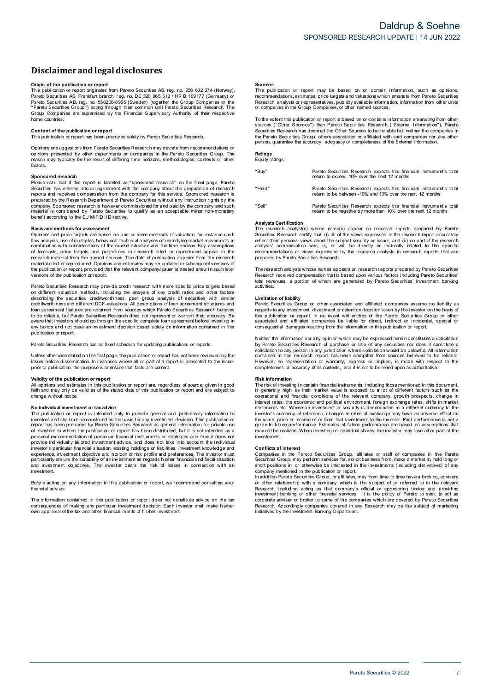# **Disclaimerandlegal disclosures Disclaimer and legal disclosures<br>Origin of the publication or report<br>This publication or report originates from Pareto Securities AS, reg. no. 956 632 374 (Norway),**

**DISCIAIMET AND IEgal dISCIOSUTES**<br>This publication or report<br>This publication or report originates from Pareto Securities AS, reg. no. 956 632 374 (Norway)<br>Pareto Securities AS, Frankfurt branch, reg. no. DE 320 965 513 / Pareto Securities AB, reg. no. 556206-8956 (Sweden) (together the Group Companies or the **Origin of the publication or report**<br>This publication or report originates from Pareto Securities AS, reg. no. 956 632 374 (Norway) or<br>Pareto Securities AS, Frankfurt branch, reg. no. DE 320 965 513 / HR B 109177 (Germany home countries. **Content of the publication or report**<br> **Content of the publication or report**<br> **Content of the publication or report**<br> **Content of the publication or report**<br> **This publication or report**<br> **This publication or report**<br> **C** 

Content of the publication or report<br>This publication or report has been prepared solely by Pareto Securities Research.<br>Opinions or suggestions from Pareto Securities Research may deviate from recommendations or **Content of the publication or report**<br>This publication or report has been prepared solely by Pareto Securities Research.<br>Opinions or suggestions from Pareto Securities Research may deviate from recommendations or<br>perinons factors. Please nay typically be the result of differing time horizons, methodologies, contexts or other<br>factors.<br>Sponsored research<br>Please note that if this report is labelled as "sponsored research" on the front page, Pareto<br>Secu

**Sponsored research**<br>Please note that if this report is labelled as "sponsored research" on the front page, Pareto Factors.<br>
Sponsored research<br>
Please note that if this report is labelled as "sponsored research" on the front page, Pareto<br>
Securities has entered into an agreement with the company about the preparation of research<br>
repe

### **Basis and methods for assessment**

contential is considered by Pareto Securities to quality as an acceptable minor non-monetary<br>benefit according to the EU MiFID II Directive.<br>**Basis and methods for assessment**<br>Opinions and price targets are based on one or research material from the named sources. The date of publication appears from the research material cited or reproduced. Opinions and estimates may be updated in subsequent versions of flow analysis, use of multiples, behavioral technical analyses of underlying market movements in combination with considerations of the market situation and the time horizon. Key assumptions of forecasts, orice targets and the complimation with considerations of the market situation and the time horizon. Key assumptions of forecasts, price targets and projections in research cited or reproduced appear in the research material from the named

Pareto Securities Research may provide credit research with more specific price targets based on different valuation methods, including the analysis of key credit ratios and other factors on different valuation or report, provided that the relevant company/issuer is treated anew in such later<br>versions of the publication or report.<br>Pareto Securities Research may provide credit research with more specific pri Persions of the publication or report.<br>Pareto Securities Research may provide credit research with more specific price targets based<br>on different valuation methods, including the analysis of key credit ratios and other fac loan agreement features are obtained from sources which Pareto Securities Research believes<br>to be reliable, but Pareto Securities Research does not represent or warrant their accuracy. Be<br>aware that investors should go thr publication or report.

Pareto Securities Research has no fixed schedule for updating publications or reports.

any but also an interested an investment decision based body on information contained in this<br>publication or report.<br>Diness otherwise stated on the first page, the publication or report has not been reviewed by the<br>issuer Unless otherwise stated on the first page, the publication or report has not been reviewed by the<br>
pusies the fore dissemination. In instances where all or part of a report is presented to the issuer<br> **propertion**<br>
All opi

faith and may only be valid as of the state and what call experience to the issuer<br> **Validity of the publication or report**<br>
All opinions and estimates in this publication or report are, regardless of source, given in good change without notice. **N or investment or the publication or report are, regardless of source, given in good<br>faith and may only be valid as of the stated date of this publication or report and are subject to<br>change without notice.<br>The publicati** 

Change without intesting to the state of the state of the presence of the presence in the state of the publication or report is intended only to provide general and preliminary information to investors and shall not be con The publication of reports and shall not be construed as the basis for any investment and publing internal in<br>the publication of report has been prepared by Pareto Securities. Research as general information for private us investment. experience, investment objective and horizon or risk profile and preferences. The investor must particularly ensure the suitability of an investment as regards his/her financial and fiscal situation and investment objectiv

financial advisor Before acting on any information in this publication or report, we recommend consulting your<br>financial advisor.<br>The information contained in this publication or report does not constitute advice on the tax

Before acting on any information in this publication or report, we recommend consulting your<br>financial advisor.<br>Consequences of making any particular investment decision. Each investor shall make his/her<br>consequences of ma

### **Sources**

**Sources**<br>This publication or report may be based on or contain information, such as opinions,<br>recommendations, estimates, price targets and valuations which emanate from Pareto Securities<br>Research' analysts or representat **Sources**<br>This publication or report may be based on or contain<br>recommendations, estimates, price targets and valuations which<br>Research' analysts or representatives, publicly available informa<br>or companies in the Group Com The extent this publication or report is based on or contains which emanate from Pareto Securities<br>
Research' analysts or representatives, publicly available information, information from other units<br>
or companies in the G

Securities Res earch the Group Companies, or other named sources.<br>To the extent this publication or report is based on or contains information emanating from other<br>Sources ("Other Sources") than Pareto Securities Research person, guarantee the accuracy, adequacy or completeness of the External Information.

## **Ratings** Equity ratings:

"Buy" Pareto Securities Research expects this financial instrument's total return to exceed 10% over the next 12 months "Hold" Pareto Securities Research expects this financial instrument's total Pareto Securities Research expects this financial instrume<br>return to exceed 10% over the next 12 months<br>Pareto Securities Research expects this financial instrume<br>return to be between -10% and 10% over the next 12 months "Sell" Pareto Securities Research expects this financial instrument's total Pareto Securities Research expects this financial instrument's<br>return to be between -10% and 10% over the next 12 months<br>Pareto Securities Research expects this financial instrument's<br>return to be negative by more than 10%

### **Analysts Certification**

Analysts Schmodhon<br>The research analyst(s) whose name(s) appear on research reports prepared by Pareto Securities Research certify that: (i) all of the views expressed in the research report accurately reflect their personal views about the subject security or issuer, and (ii) no part of the research analysts' compensation reflect their personal views about the subject security or issuer, and (ii) no part of the research Analysts Certification<br>The research analyst(s) whose name(s) appear on research reports prepared by Pareto<br>Securities Research certify that (i) all of the views expressed in the research report accurately<br>reflect their per

contract neuron analysts' compensation was also, is, or will be directly or indirectly related to the specific<br>recommendations or views expressed by the research analysts in research reports that are<br>prepared by Pareto Sec activities. **Limitation**<br> **Research received** contractivities.<br> **Limitation of liability**<br> **Pareto Securities Green** total revenues, a portion of which are generated by Pareto Securities' investment banking<br>activities.<br> **Limitation of liability**<br>
Pareto Securities Group or other associated and affiliated companies assume no liability as<br>

Pareto Securities Group or other associated and affiliated companies assume no liability as Derivation of liability<br>
Limitation of liability<br>
Pareto Securities Group or other associated and affiliated companies assume no liability as<br>
regards to any investment, divestment or retention decision taken by the invest Neither the information of report. In no event will entities of the Pareto Securities Group or other<br>associated and affiliated companies be liable for direct, indirect or incidental, special or<br>consequential damages result

consequential damages resulting from the information in this publication or report.<br>Neither the information nor any opinion which may be expressed herein constitutes a solicitation<br>by Pareto Securities Research of purchase

### **Risk information**

However, no representation or warranty, express or implied, is made with respect to the completeness or accuracy of its contents, and it is not to be relied upon as authoritative.<br> **Risk information**<br>
The risk of investing completeness or accuracy of its contents, and it is not to be relied upon as authoritative.<br> **Risk information**<br> **Risk information**<br> **Risk information**<br> **Risk information**<br> **Risk information**<br> **Risk information**<br> **Risk inf** interest rates, the economic and political environment, foreign exchange rates, shifts in market<br>'sentiments etc. Where an investor's currency to reference, changes in rates of exchange may have an adverse effect on<br>invest the value of or income or income or income or the relevant company, growth prospects, change in interest rates, the economic and political environment, foreign exchange rates, shifts in market sentiments etc. Where an inve marious, is common our pulsions are investment of security is denominated in a different currency to the investor's currency of reference, changes in rates of exchange may have an adverse effect on the value, price or inco investments. **Conflicts c** for the performal public to future performal public method.<br> **Conflicts of interest**<br> **Conflicts of interest** 

grave of the realized. When investing in individual shares, the investor may lose all or part of the<br>investments.<br>Conflicts of interest<br>Companies in the Pareto Securities Group, affiliates or staff of companies in the Pare Companies in the Pareto Securities Group, affiliates or staff of companies in the Pareto Securities Group, may perform services for, solicit business from, make a market in, hold long or short positions in, or otherwise be

short positions in, or otherwise be interested in the investments (including derivatives) of any<br>short positions in, or otherwise be interested in the investments (including derivatives) of any<br>company mentioned is depende or other relationship with a company which is the subject of or referred to in the relevant Research, including acting as that company's official or sponsoring broker and providing investment banking or other financial ser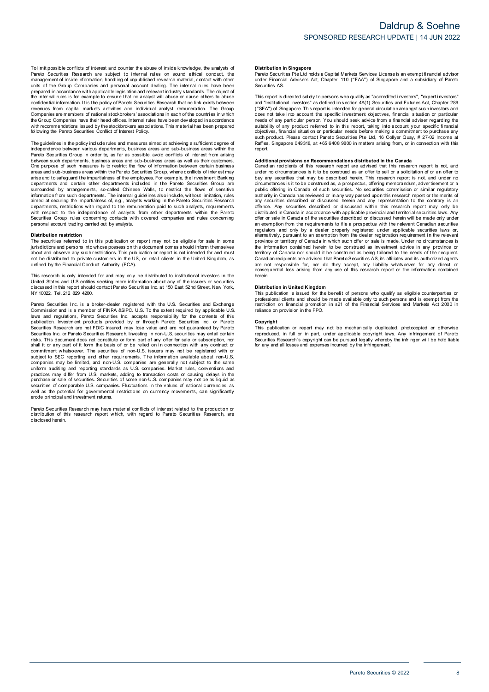independence between various departments, business areas and sub-business areas within the<br>Pareto Securities Group in order to, as far as possible, avoid conflicts of interest from arising Following the Pareto Securities Conflict of Interest Policy.<br>The guidelines in the policy include rules and measures aimed at achieving a sufficient degree of<br>independence between various departments, business areas and su between such departments, business areas and sub-business areas as well as their customers. The guidelines in the policy include rules and measures aimed at achieving a sufficient degree of<br>independence between various departments, business areas and sub-business areas within the<br>Pareto Securities Group in order Done purpose of such measures is to restrict the flow of information between certain business<br>areas and sub-business areas within the Pareto Securities Group, where conflicts of inter est may<br>arise and to safegurard the im departments and certain other departments included in the Pareto Securities Group are<br>surrounded by arrangements, so-called Chinese Walls, to restrict the flows of sensitive<br>information from such departments. The internal Securities Group rules Group rules Concerning in the Concerning contacts without limitation, rules aimed at securing the impartialness of, e.g., analysts working in the Pareto Securities Research departments, restrictions Securities Group rules concerning contacts with covered companies and rules concerning personal account trading carried out by analysts.

**Distribution restriction**<br>The securities referred to in this publication or report may not be eligible for sale in some jurisdictions and persons into whose possession this document comes s hould inform themselves Distribution restriction<br>The securities referred to in this publication or report may not be eligible for sale in some<br>ilurisdictions and persons into whose possession this document comes should inform themselves<br>about and This research is only intended for and must be distributed to private customers in the US, or retail clients in the United Kingdom, as defined by the Financial Conduct Authority (FCA).<br>This research is only intended for an

Note that the britancial Conduct Authority (FCA).<br>This research is only intended for and may only be distributed to institutional investors in the<br>United States and U.S entities seking more information about any of the iss Pareto Securities Inc. is a broker-dealer registered with the U.S. Securities and U.S entities seking more information about any of the issuers or securities discussed in this report should contact Pareto Securities Inc. a

of also used in this report should contact Pareto Securities Inc. at 150 East 52nd Street, New York, NY 10022, Tel. 212 829 4200.<br>NY 10022, Tel. 212 829 4200.<br>Commission and is a member of FINRA &SIPC. U.S. To the extent r Pareto Securities Inc. a la abroker-dealer registered with the U.S. Securities and Exchange<br>Commission and is a member of FINRA &SIPC. U.S. To the extent required by applicable U.S<br>Idwas and regulations, Pareto Securities Securities Research are not FDIC insured, may lose value and are not guaranteed by Pareto<br>Securities Research are not FDIC insured, may lose value and are not guaranteed by Pareto<br>Securities Inc. or Pareto Securities Resea prominent whatsoever. The securities of non-U.S. issuers may not be registered with or subject to SEC reporting and other requirements. The information available about non-U.S. companies may be limited, and non-U.S. compan uniform auditing and reporting standards as U.S. companies. Market rules, conventions and practices may differ from U.S. markets, adding to transaction costs or causing delays in the purchase or sale of securities. Securit well as the potential for governmental restrictions on currency movements, can significantly erode principal and investment returns. pareto Securities of comparable U.S. comparises. Fluctuations in the values of rational currencies, as<br>well as the potential for governmental restrictions on currency movements, can significantly<br>erode principal and invest

disclosed herein.

### **Distribution in Singapore**

Distribution in Singapore<br>Pareto Securities Pte Ltd holds a Capital Markets Services License is an exempt financial advisor<br>under Financial Advisers Act, Chapter 110 ("FAA") of Singapore and a subsidiary of Pareto under Financial Advisers Act, Chapter 110 ("FAA") of Singapore and a subsidiary of Pareto Securities AS. Pareto Securities Pte Ltd holds a Capital Markets Services License is an exempt financial advisor<br>under Financial Advisers Act, Chapter 110 ("FAA") of Singapore and a subsidiary of Pareto<br>Securities AS.<br>This report is dire

ration contains and a subsidiary of Practicus and a subsidiary of Practicus under Financial Advisers Act, Chapter 110 ("FAA") of Singapore and a subsidiary of Pareto<br>Securities AS.<br>This report is directed solely to persons and "institutional investors", as defined in section 4A(1) Securities and Futures Act, Chapter 289<br>("SFA") of Singapore. This report is intended for general circulation amongst such investors and<br>("SFA") of Singapore. Thi report.

such product. Please contact Pareto Securities Pte Ltd, 16 Collyer Quay, # 27-02 Income at<br>such product. Please contact Pareto Securities Pte Ltd, 16 Collyer Quay, # 27-02 Income at<br>Raffles, Singapore 049318, at +65 6408 9 under no circumstances is it to be construed as an offer to sell or a solicitation of or an offer to buy any securities that may be described herein. This research report is not, and under no circumstances is it to be cons under no circumstances is it to be construed as an offer to sell or a solicitation of or an offer to<br>buy any securities that may be described herein. This research report is not, and under no<br>circumstances is it to be cons offence. Any securities described or discussed within this research report may only be distributed in Canada in accordance with applicable provincial and territorial securities laws. Any offer or sale in Canada of the secu offence. Any securities described or discussed within this research report may only be distributed in Canada in accordance with applicable provincial and territorial securities laws. Any offer or sale in Canada of the secu province or territory of Canada in which such offer or sale is made. Under no circumstances is<br>the information contained herein to be construed as being tailored to the needs of the recipient.<br>Carritory of Canada nor shoul province or territory of Canada in which such offer or sale is made. Under no circumstances is<br>province or territory of Canada in which such offer or sale is made. Under no circumstances is<br>territory of Canada nor should i herein.

**Distribution in United Kingdom** professional clients and should be made available only to such persons and is exempt from the metriction on financial promotion in s21 of the Financial Services and Markets Act 2000 in reliance on provision in the FPO. This publication on financial promotion in s21 of the Financial Services and Markets Act 2000 in<br>This publication or report may not be mechanically duplicated, photocopied or otherwise<br>This publication or report may not be

Copyright<br>This publication or report may not be mechanically duplicated, photocopied or otherwise reliance on provision in the FPO.<br> **Copyright**<br>
This publication or report may not be mechanically duplicated, photocopied or otherwise<br>
reproduced, in full or in part, under applicable copyright laws. Any infringement of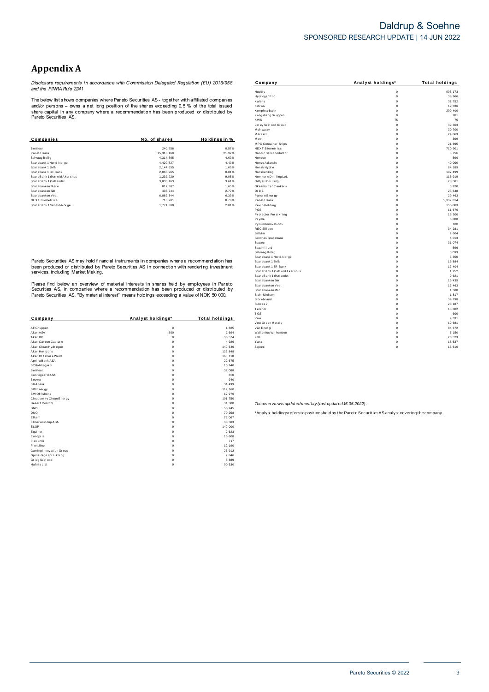## Daldrup & Soehne SPONSORED RESEARCH UPDATE | 14 JUN 2022

## **Appendix A**

Disclosure requirements in accordance with Commission Delegated Regulation (EU) 2016/958<br>and the FINRA Rule 2241

The below list shows companies where Pareto Securities AS - together with affiliated companies The better that and do persons - comparises write Prat ato Securities AS - together with annihilated comparies<br>share capital in any company where a recommendation has been produced or distributed by<br>Pareto Securities AS.

| Companies                     | No. of shares | Holdings in % |
|-------------------------------|---------------|---------------|
| <b>Bonheur</b>                | 240.958       | 0.57%         |
| Par eto Bank                  | 15.310.160    | 21.92%        |
| Selvaag Bolig                 | 4.314.865     | 4.60%         |
| Sparebank 1 Nor d-Nor ge      | 4.420.827     | 4.40%         |
| Spar ebank 1 SMN              | 2.144.655     | 1.65%         |
| Sparebank 1 SR-Bank           | 2.063.265     | 0.81%         |
| SpareBank 1 Østf old Akershus | 1.232.229     | 9.95%         |
| SpareBank 1 Østlandet         | 3.833.163     | 3.61%         |
| Sparebanken Møre              | 817.307       | 1.65%         |
| Spar ebanken Sør              | 433.744       | 2.77%         |
| Sparebanken Vest              | 6.862.344     | 6.39%         |
| <b>NEXT Biometrics</b>        | 710.901       | 0.78%         |
| SpareBank 1 Sørøst-Norge      | 1.771.308     | 2.81%         |

Pareto Securities AS may hold financial instruments in companies where a recommendation has been produced or distributed by Pareto Securities AS in connection with rendering investment<br>services, including Market Making.

Please find below an overview of material interests in shares held by employees in Pareto<br>Securities AS, in companies where a recommendation has been produced or distributed by<br>Pareto Securities AS. "By material interest"

| Company                  | Analyst holdings* | Total holdings |
|--------------------------|-------------------|----------------|
|                          |                   |                |
| AF Gr uppen              | $\mathbf 0$       | 1.825          |
| Aker ASA                 | 500               | 2.694          |
| Aker BP                  | $\Omega$          | 30,574         |
| Aker Carbon Capture      | $\Omega$          | 4,926          |
| Aker Clean Hydrogen      | $\mathbf 0$       | 140.540        |
| Aker Horizons            | $\mathbf 0$       | 125,848        |
| Aker Of f shore Wind     | $\Omega$          | 165,118        |
| Aprila Bank ASA          | $\mathbf 0$       | 22,675         |
| B2Holding AS             | $\Omega$          | 10,940         |
| Bonheur                  | $\mathbf 0$       | 32,088         |
| Bor regaar d ASA         | $\Omega$          | 650            |
| Bouvet                   | $\mathbf 0$       | 940            |
| <b>BRAbank</b>           | $\mathbf 0$       | 31,499         |
| BW Energy                | $\Omega$          | 112,160        |
| BW Of f shore            | $\Omega$          | 17,976         |
| Cloudber ry Clean Energy | $\Omega$          | 101,750        |
| Desert Control           | $\mathbf 0$       | 31,500         |
| <b>DNB</b>               | $\mathbf 0$       | 50,245         |
| <b>DNO</b>               | $\Omega$          | 70,258         |
| Fikem                    | $\Omega$          | 72.067         |
| Elmer a Gr oup A SA      | $\mathbf 0$       | 30.503         |
| ELOP                     | $\Omega$          | 140,000        |
| Equinor                  | $\mathbf 0$       | 2,623          |
| Europris                 | $\mathbf 0$       | 16,608         |
| Flex LNG                 | $\mathbf 0$       | 717            |
| Frontline                | $\mathbf 0$       | 12,190         |
| Gaming Innovation Group  | $\mathbf 0$       | 25.912         |
| Gjensidige For sikring   | $\mathbf 0$       | 7.846          |
| Grieg Seaf ood           | $\mathbf 0$       | 8,889          |
| Haf nia Ltd.             | $\mathbf 0$       | 90,530         |

| Company                        | Analyst holdings* | <b>Total holdings</b> |
|--------------------------------|-------------------|-----------------------|
| Huddly                         | $\mathbf 0$       | 995.173               |
| Hydr ogenPr o                  | Ó                 | 38.966                |
| Kalera                         | Ó                 | 31,752                |
| Kitr on                        | 0                 | 19,336                |
| Komplett Bank                  | 0                 | 209,400               |
| Kongsber g Gr uppen            | 0                 | 281                   |
| <b>KWS</b>                     | 75                | 75                    |
| Ler øy Seaf ood Gr oup         | $\mathbf 0$       | 39.363                |
| Meltwater                      | $\mathbf 0$       | 30.700                |
| Mercell                        | $\mathbf 0$       | 24,863                |
| Mowi                           | Ó                 | 399                   |
| MPC Container Ships            | Ó                 | 21,695                |
| <b>NEXT Biometrics</b>         | 0                 | 710,901               |
| Nor dic Semi conductor         | 0                 | 8,756                 |
| Nor eco                        | 0                 | 590                   |
| Nor se Atlantic                | $\alpha$          | 40.000                |
| Norsk Hydro                    | Ó                 | 84,189                |
| Nor ske Skog                   | Ó                 | 107,499               |
| Northern Drilling Ltd.         | Ó                 | 115.919               |
| Odf jell Drilling              | 0                 | 28,581                |
| Okeanis Eco Tankers            | Ó                 | 3,920                 |
| Orkla                          | Ó                 | 23,648                |
| Panor o Ener gy                | 0                 | 29,463                |
| Par eto Bank                   | 0                 | 1.339.814             |
| Pexip Holding                  | Ó                 | 156.883               |
| PGS                            | Ó                 | 11,676                |
| Protector Forsikring           | 0                 | 15,300                |
| Pryme                          | 0                 | 5,000                 |
| Pyr um Innovations             | Ó                 | 100                   |
| <b>REC Silicon</b>             | Ó                 | 34.281                |
| Sal M ar                       | Ó                 | 2.604                 |
| Sandnes Spar ebank             | Ó                 | 4,013                 |
| Scatec                         | Ó                 | 31,074                |
| Seadrill Ltd                   | Ó                 | 596                   |
| Selvaag Bolig                  | 0                 | 3,093                 |
| Spar ebank 1 Nor d-Nor ge      | 0                 | 3,350                 |
| Spar ebank 1 SMN               | 0                 | 15,884                |
| Spar ebank 1 SR-Bank           | Ó                 | 17.404                |
| SpareBank 1 Østf old Aker shus | $\alpha$          | 1.252                 |
| Spar eBank 1 Østl andet        | Ó                 | 9,621                 |
| Spar ebanken Sør               | 0                 | 16,435                |
| Spar ebanken Vest              | Ó                 | 17,463                |
| Spar ebanken Øst               | Ó                 | 1,500                 |
| Stolt-Nielsen                  | 0                 | 1,817                 |
| Stor ebr and                   | $\mathbf 0$       | 39.798                |
| Subsea 7                       | 0                 | 23,187                |
| Telenor                        | 0                 | 13,602                |
| <b>TGS</b>                     | Ó                 | 600                   |
| Vow                            | 0                 | 9,331                 |
| Vow Green Metals               | 0                 | 19,681                |
| Vår Ener gi                    | Ó                 | 84.672                |
| Wallenius Wilhemsen            | Ó                 | 5.150                 |
| XXL                            | Ó                 | 20.523                |
| Yara                           | Ó                 | 18,537                |
| Zaptec                         | $\mathbf 0$       | 15,610                |
|                                |                   |                       |

Thisoverview isupdated monthly (last updated 16.05.2022).

\*Analyst holdingsrefersto positionsheld by the Pareto Securities AS analyst covering the company.